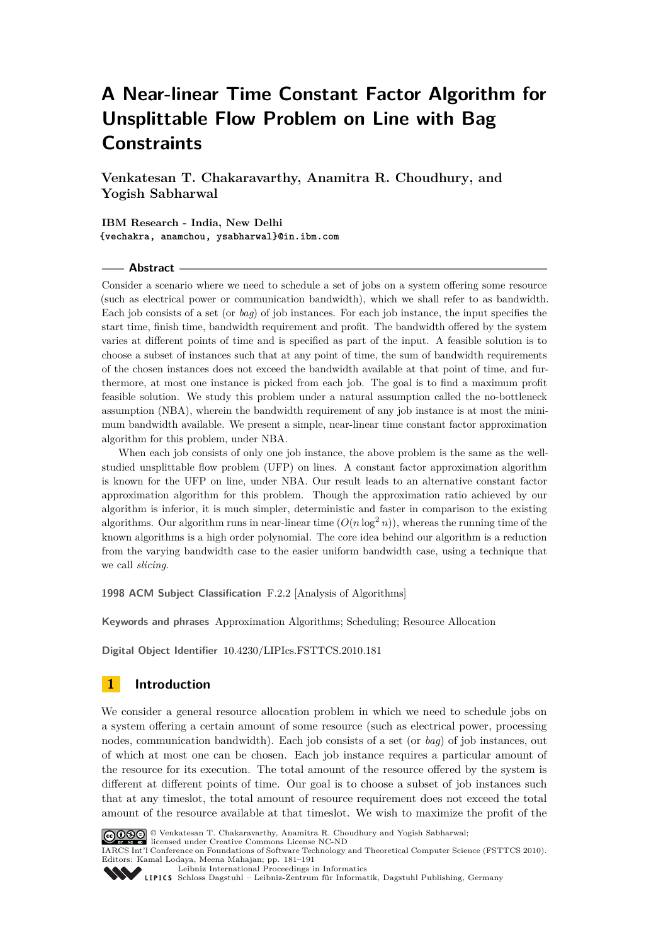# **A Near-linear Time Constant Factor Algorithm for Unsplittable Flow Problem on Line with Bag Constraints**

**Venkatesan T. Chakaravarthy, Anamitra R. Choudhury, and Yogish Sabharwal**

**IBM Research - India, New Delhi {vechakra, anamchou, ysabharwal}@in.ibm.com**

### **Abstract**

Consider a scenario where we need to schedule a set of jobs on a system offering some resource (such as electrical power or communication bandwidth), which we shall refer to as bandwidth. Each job consists of a set (or *bag*) of job instances. For each job instance, the input specifies the start time, finish time, bandwidth requirement and profit. The bandwidth offered by the system varies at different points of time and is specified as part of the input. A feasible solution is to choose a subset of instances such that at any point of time, the sum of bandwidth requirements of the chosen instances does not exceed the bandwidth available at that point of time, and furthermore, at most one instance is picked from each job. The goal is to find a maximum profit feasible solution. We study this problem under a natural assumption called the no-bottleneck assumption (NBA), wherein the bandwidth requirement of any job instance is at most the minimum bandwidth available. We present a simple, near-linear time constant factor approximation algorithm for this problem, under NBA.

When each job consists of only one job instance, the above problem is the same as the wellstudied unsplittable flow problem (UFP) on lines. A constant factor approximation algorithm is known for the UFP on line, under NBA. Our result leads to an alternative constant factor approximation algorithm for this problem. Though the approximation ratio achieved by our algorithm is inferior, it is much simpler, deterministic and faster in comparison to the existing algorithms. Our algorithm runs in near-linear time  $(O(n \log^2 n))$ , whereas the running time of the known algorithms is a high order polynomial. The core idea behind our algorithm is a reduction from the varying bandwidth case to the easier uniform bandwidth case, using a technique that we call *slicing*.

**1998 ACM Subject Classification** F.2.2 [Analysis of Algorithms]

**Keywords and phrases** Approximation Algorithms; Scheduling; Resource Allocation

**Digital Object Identifier** [10.4230/LIPIcs.FSTTCS.2010.181](http://dx.doi.org/10.4230/LIPIcs.FSTTCS.2010.181)

# **1 Introduction**

We consider a general resource allocation problem in which we need to schedule jobs on a system offering a certain amount of some resource (such as electrical power, processing nodes, communication bandwidth). Each job consists of a set (or *bag*) of job instances, out of which at most one can be chosen. Each job instance requires a particular amount of the resource for its execution. The total amount of the resource offered by the system is different at different points of time. Our goal is to choose a subset of job instances such that at any timeslot, the total amount of resource requirement does not exceed the total amount of the resource available at that timeslot. We wish to maximize the profit of the



© Venkatesan T. Chakaravarthy, Anamitra R. Choudhury and Yogish Sabharwal; licensed under Creative Commons License NC-ND

IARCS Int'l Conference on Foundations of Software Technology and Theoretical Computer Science (FSTTCS 2010).

Editors: Kamal Lodaya, Meena Mahajan; pp. 181[–191](#page-10-0) [Leibniz International Proceedings in Informatics](http://www.dagstuhl.de/lipics/)

Leibniz international Floretungs in miximismos<br>
LIPICS [Schloss Dagstuhl – Leibniz-Zentrum für Informatik, Dagstuhl Publishing, Germany](http://www.dagstuhl.de)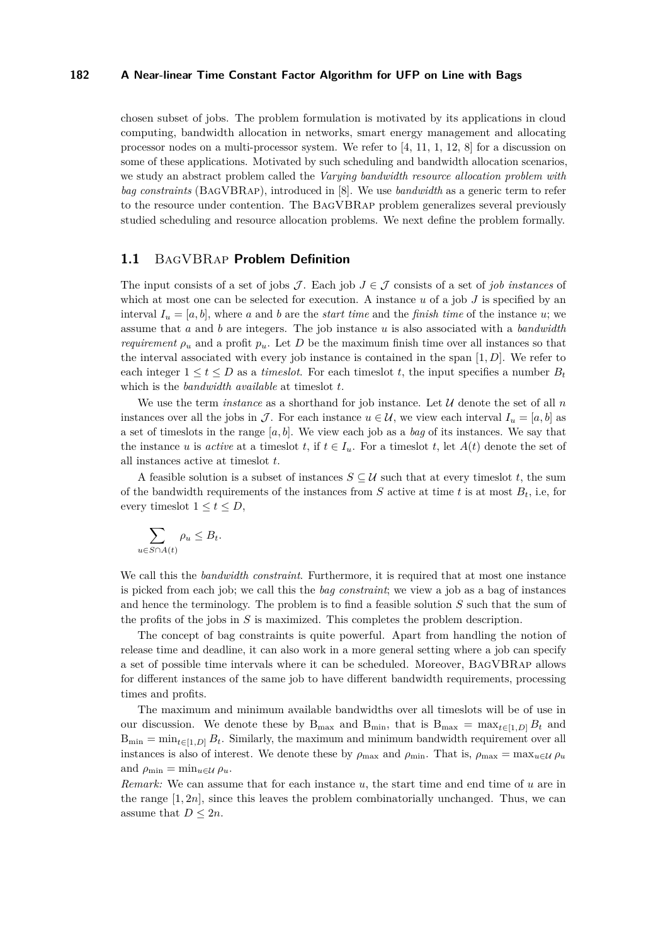chosen subset of jobs. The problem formulation is motivated by its applications in cloud computing, bandwidth allocation in networks, smart energy management and allocating processor nodes on a multi-processor system. We refer to [\[4,](#page-10-1) [11,](#page-10-2) [1,](#page-10-3) [12,](#page-10-4) [8\]](#page-10-5) for a discussion on some of these applications. Motivated by such scheduling and bandwidth allocation scenarios, we study an abstract problem called the *Varying bandwidth resource allocation problem with bag constraints* (BagVBRap), introduced in [\[8\]](#page-10-5). We use *bandwidth* as a generic term to refer to the resource under contention. The BagVBRap problem generalizes several previously studied scheduling and resource allocation problems. We next define the problem formally.

# **1.1** BagVBRap **Problem Definition**

The input consists of a set of jobs  $\mathcal{J}$ . Each job  $J \in \mathcal{J}$  consists of a set of *job instances* of which at most one can be selected for execution. A instance  $u$  of a job  $J$  is specified by an interval  $I_u = [a, b]$ , where a and b are the *start time* and the *finish time* of the instance u; we assume that *a* and *b* are integers. The job instance *u* is also associated with a *bandwidth requirement*  $\rho_u$  and a profit  $p_u$ . Let *D* be the maximum finish time over all instances so that the interval associated with every job instance is contained in the span [1*, D*]. We refer to each integer  $1 \le t \le D$  as a *timeslot*. For each timeslot *t*, the input specifies a number  $B_t$ which is the *bandwidth available* at timeslot *t*.

We use the term *instance* as a shorthand for job instance. Let  $U$  denote the set of all  $n$ instances over all the jobs in J. For each instance  $u \in \mathcal{U}$ , we view each interval  $I_u = [a, b]$  as a set of timeslots in the range [*a, b*]. We view each job as a *bag* of its instances. We say that the instance *u* is *active* at a timeslot *t*, if  $t \in I_u$ . For a timeslot *t*, let  $A(t)$  denote the set of all instances active at timeslot *t*.

A feasible solution is a subset of instances  $S \subseteq \mathcal{U}$  such that at every timeslot t, the sum of the bandwidth requirements of the instances from  $S$  active at time  $t$  is at most  $B_t$ , i.e, for every timeslot  $1 \le t \le D$ ,

$$
\sum_{u \in S \cap A(t)} \rho_u \le B_t.
$$

We call this the *bandwidth constraint*. Furthermore, it is required that at most one instance is picked from each job; we call this the *bag constraint*; we view a job as a bag of instances and hence the terminology. The problem is to find a feasible solution *S* such that the sum of the profits of the jobs in *S* is maximized. This completes the problem description.

The concept of bag constraints is quite powerful. Apart from handling the notion of release time and deadline, it can also work in a more general setting where a job can specify a set of possible time intervals where it can be scheduled. Moreover, BagVBRap allows for different instances of the same job to have different bandwidth requirements, processing times and profits.

The maximum and minimum available bandwidths over all timeslots will be of use in our discussion. We denote these by  $B_{\text{max}}$  and  $B_{\text{min}}$ , that is  $B_{\text{max}} = \max_{t \in [1, D]} B_t$  and  $B_{\min} = \min_{t \in [1, D]} B_t$ . Similarly, the maximum and minimum bandwidth requirement over all instances is also of interest. We denote these by  $\rho_{\text{max}}$  and  $\rho_{\text{min}}$ . That is,  $\rho_{\text{max}} = \max_{u \in \mathcal{U}} \rho_u$ and  $\rho_{\min} = \min_{u \in \mathcal{U}} \rho_u$ .

*Remark:* We can assume that for each instance *u*, the start time and end time of *u* are in the range  $[1, 2n]$ , since this leaves the problem combinatorially unchanged. Thus, we can assume that  $D \leq 2n$ .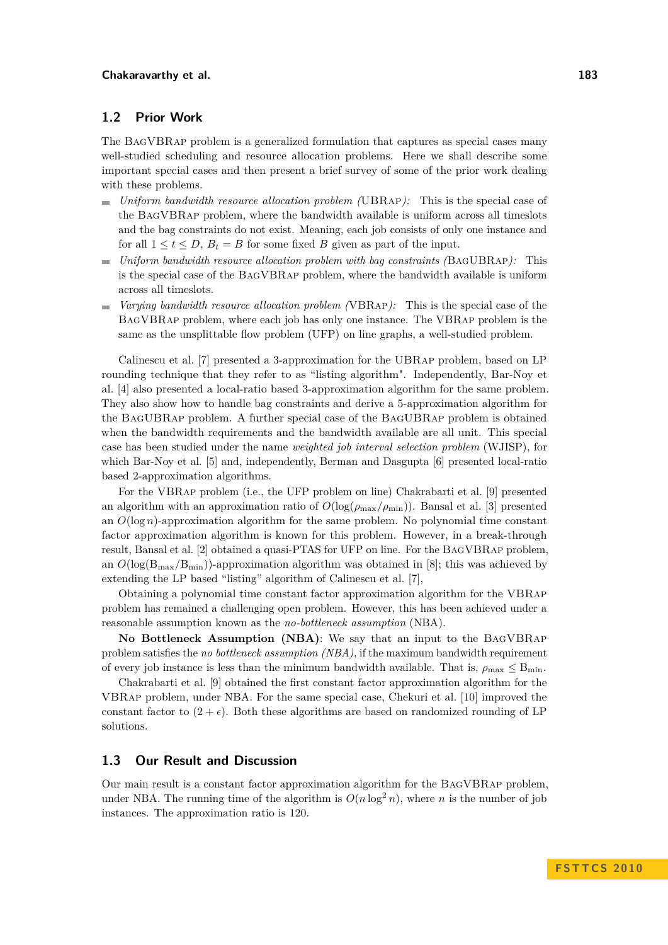# **1.2 Prior Work**

The BagVBRap problem is a generalized formulation that captures as special cases many well-studied scheduling and resource allocation problems. Here we shall describe some important special cases and then present a brief survey of some of the prior work dealing with these problems.

- *Uniform bandwidth resource allocation problem (*UBRap*):* This is the special case of  $\blacksquare$ the BagVBRap problem, where the bandwidth available is uniform across all timeslots and the bag constraints do not exist. Meaning, each job consists of only one instance and for all  $1 \le t \le D$ ,  $B_t = B$  for some fixed *B* given as part of the input.
- *Uniform bandwidth resource allocation problem with bag constraints (*BagUBRap*):* This m. is the special case of the BagVBRap problem, where the bandwidth available is uniform across all timeslots.
- *Varying bandwidth resource allocation problem (*VBRap*):* This is the special case of the  $\mathbf{r}$ BagVBRap problem, where each job has only one instance. The VBRap problem is the same as the unsplittable flow problem (UFP) on line graphs, a well-studied problem.

Calinescu et al. [\[7\]](#page-10-6) presented a 3-approximation for the UBRap problem, based on LP rounding technique that they refer to as "listing algorithm". Independently, Bar-Noy et al. [\[4\]](#page-10-1) also presented a local-ratio based 3-approximation algorithm for the same problem. They also show how to handle bag constraints and derive a 5-approximation algorithm for the BagUBRap problem. A further special case of the BagUBRap problem is obtained when the bandwidth requirements and the bandwidth available are all unit. This special case has been studied under the name *weighted job interval selection problem* (WJISP), for which Bar-Noy et al. [\[5\]](#page-10-7) and, independently, Berman and Dasgupta [\[6\]](#page-10-8) presented local-ratio based 2-approximation algorithms.

For the VBRap problem (i.e., the UFP problem on line) Chakrabarti et al. [\[9\]](#page-10-9) presented an algorithm with an approximation ratio of  $O(\log(\rho_{\text{max}}/\rho_{\text{min}}))$ . Bansal et al. [\[3\]](#page-10-10) presented an *O*(log *n*)-approximation algorithm for the same problem. No polynomial time constant factor approximation algorithm is known for this problem. However, in a break-through result, Bansal et al. [\[2\]](#page-10-11) obtained a quasi-PTAS for UFP on line. For the BagVBRap problem, an  $O(\log(B_{\text{max}}/B_{\text{min}}))$ -approximation algorithm was obtained in [\[8\]](#page-10-5); this was achieved by extending the LP based "listing" algorithm of Calinescu et al. [\[7\]](#page-10-6),

Obtaining a polynomial time constant factor approximation algorithm for the VBRap problem has remained a challenging open problem. However, this has been achieved under a reasonable assumption known as the *no-bottleneck assumption* (NBA).

**No Bottleneck Assumption (NBA)**: We say that an input to the BagVBRap problem satisfies the *no bottleneck assumption (NBA)*, if the maximum bandwidth requirement of every job instance is less than the minimum bandwidth available. That is,  $\rho_{\text{max}} \leq B_{\text{min}}$ .

Chakrabarti et al. [\[9\]](#page-10-9) obtained the first constant factor approximation algorithm for the VBRap problem, under NBA. For the same special case, Chekuri et al. [\[10\]](#page-10-12) improved the constant factor to  $(2 + \epsilon)$ . Both these algorithms are based on randomized rounding of LP solutions.

# **1.3 Our Result and Discussion**

Our main result is a constant factor approximation algorithm for the BagVBRap problem, under NBA. The running time of the algorithm is  $O(n \log^2 n)$ , where *n* is the number of job instances. The approximation ratio is 120.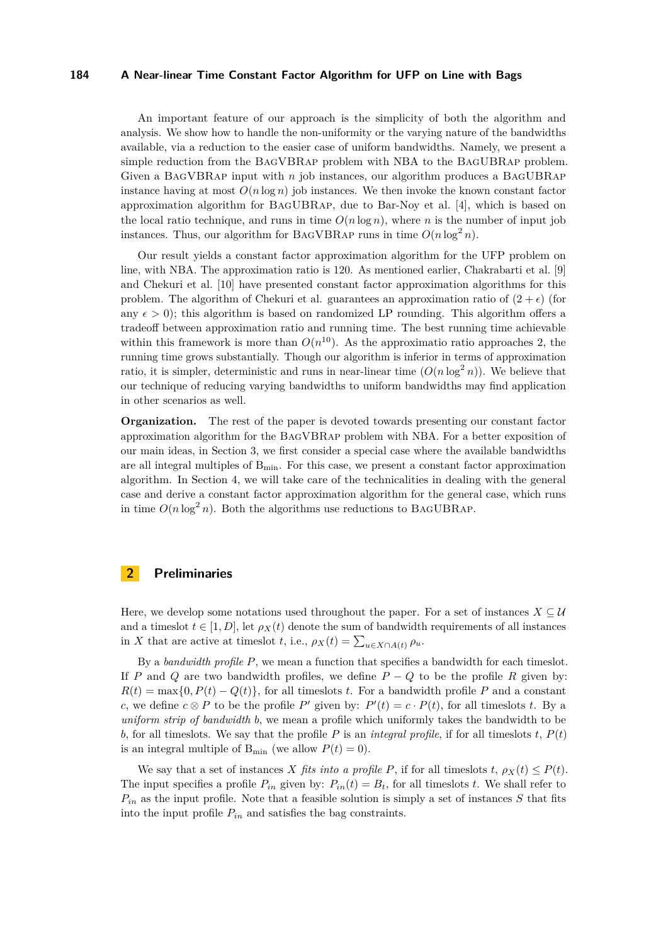An important feature of our approach is the simplicity of both the algorithm and analysis. We show how to handle the non-uniformity or the varying nature of the bandwidths available, via a reduction to the easier case of uniform bandwidths. Namely, we present a simple reduction from the BagVBRap problem with NBA to the BagUBRap problem. Given a BagVBRap input with *n* job instances, our algorithm produces a BagUBRap instance having at most  $O(n \log n)$  job instances. We then invoke the known constant factor approximation algorithm for BagUBRap, due to Bar-Noy et al. [\[4\]](#page-10-1), which is based on the local ratio technique, and runs in time  $O(n \log n)$ , where *n* is the number of input job instances. Thus, our algorithm for BAGVBRAP runs in time  $O(n \log^2 n)$ .

Our result yields a constant factor approximation algorithm for the UFP problem on line, with NBA. The approximation ratio is 120. As mentioned earlier, Chakrabarti et al. [\[9\]](#page-10-9) and Chekuri et al. [\[10\]](#page-10-12) have presented constant factor approximation algorithms for this problem. The algorithm of Chekuri et al. guarantees an approximation ratio of  $(2 + \epsilon)$  (for any  $\epsilon > 0$ ; this algorithm is based on randomized LP rounding. This algorithm offers a tradeoff between approximation ratio and running time. The best running time achievable within this framework is more than  $O(n^{10})$ . As the approximatio ratio approaches 2, the running time grows substantially. Though our algorithm is inferior in terms of approximation ratio, it is simpler, deterministic and runs in near-linear time  $(O(n \log^2 n))$ . We believe that our technique of reducing varying bandwidths to uniform bandwidths may find application in other scenarios as well.

**Organization.** The rest of the paper is devoted towards presenting our constant factor approximation algorithm for the BagVBRap problem with NBA. For a better exposition of our main ideas, in Section [3,](#page-4-0) we first consider a special case where the available bandwidths are all integral multiples of  $B_{\text{min}}$ . For this case, we present a constant factor approximation algorithm. In Section [4,](#page-7-0) we will take care of the technicalities in dealing with the general case and derive a constant factor approximation algorithm for the general case, which runs in time  $O(n \log^2 n)$ . Both the algorithms use reductions to BAGUBRAP.

# **2 Preliminaries**

Here, we develop some notations used throughout the paper. For a set of instances  $X \subseteq \mathcal{U}$ and a timeslot  $t \in [1, D]$ , let  $\rho_X(t)$  denote the sum of bandwidth requirements of all instances in *X* that are active at timeslot *t*, i.e.,  $\rho_X(t) = \sum_{u \in X \cap A(t)} \rho_u$ .

By a *bandwidth profile P*, we mean a function that specifies a bandwidth for each timeslot. If *P* and *Q* are two bandwidth profiles, we define  $P - Q$  to be the profile R given by:  $R(t) = \max\{0, P(t) - Q(t)\}\$ , for all timeslots *t*. For a bandwidth profile *P* and a constant *c*, we define  $c \otimes P$  to be the profile *P*<sup>*'*</sup> given by:  $P'(t) = c \cdot P(t)$ , for all timeslots *t*. By a *uniform strip of bandwidth b*, we mean a profile which uniformly takes the bandwidth to be *b*, for all timeslots. We say that the profile *P* is an *integral profile*, if for all timeslots  $t$ ,  $P(t)$ is an integral multiple of  $B_{\min}$  (we allow  $P(t) = 0$ ).

We say that a set of instances *X fits into a profile P*, if for all timeslots  $t$ ,  $\rho_X(t) \leq P(t)$ . The input specifies a profile  $P_{in}$  given by:  $P_{in}(t) = B_t$ , for all timeslots *t*. We shall refer to *Pin* as the input profile. Note that a feasible solution is simply a set of instances *S* that fits into the input profile *Pin* and satisfies the bag constraints.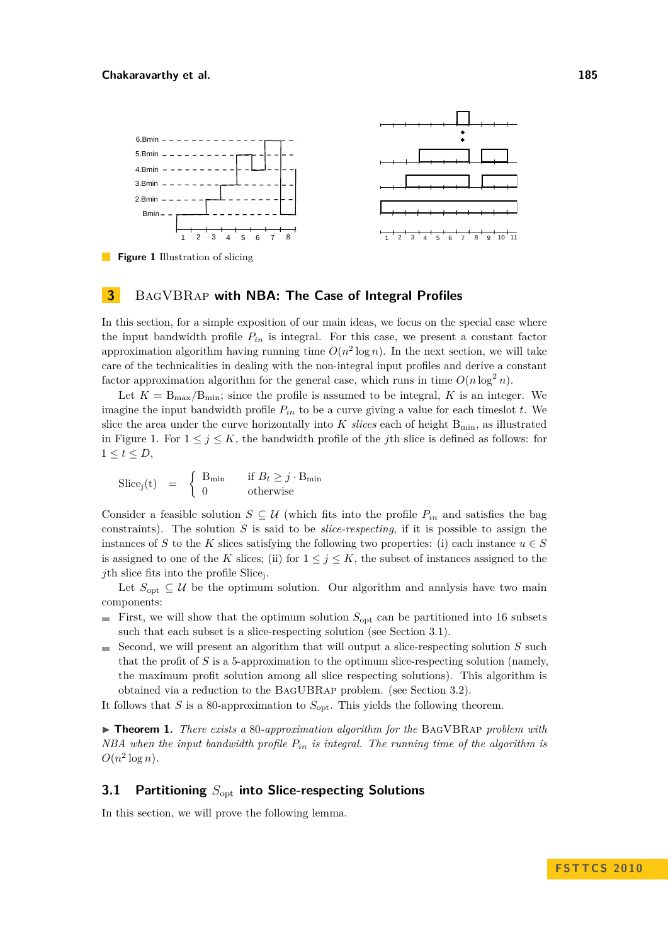<span id="page-4-1"></span>

**Figure 1** Illustration of slicing

# <span id="page-4-0"></span>**3** BagVBRap **with NBA: The Case of Integral Profiles**

In this section, for a simple exposition of our main ideas, we focus on the special case where the input bandwidth profile  $P_{in}$  is integral. For this case, we present a constant factor approximation algorithm having running time  $O(n^2 \log n)$ . In the next section, we will take care of the technicalities in dealing with the non-integral input profiles and derive a constant factor approximation algorithm for the general case, which runs in time  $O(n \log^2 n)$ .

Let  $K = B_{\text{max}}/B_{\text{min}}$ ; since the profile is assumed to be integral, K is an integer. We imagine the input bandwidth profile *Pin* to be a curve giving a value for each timeslot *t*. We slice the area under the curve horizontally into  $K$  *slices* each of height  $B_{\min}$ , as illustrated in Figure [1.](#page-4-1) For  $1 \leq j \leq K$ , the bandwidth profile of the *j*th slice is defined as follows: for  $1 \leq t \leq D$ ,

$$
\text{Slice}_j(t) = \begin{cases} B_{\min} & \text{if } B_t \geq j \cdot B_{\min} \\ 0 & \text{otherwise} \end{cases}
$$

Consider a feasible solution  $S \subseteq U$  (which fits into the profile  $P_{in}$  and satisfies the bag constraints). The solution *S* is said to be *slice-respecting*, if it is possible to assign the instances of *S* to the *K* slices satisfying the following two properties: (i) each instance  $u \in S$ is assigned to one of the *K* slices; (ii) for  $1 \leq j \leq K$ , the subset of instances assigned to the *j*th slice fits into the profile Slice<sup>j</sup> .

Let  $S_{\text{opt}} \subseteq \mathcal{U}$  be the optimum solution. Our algorithm and analysis have two main components:

- First, we will show that the optimum solution  $S_{\text{opt}}$  can be partitioned into 16 subsets such that each subset is a slice-respecting solution (see Section [3.1\)](#page-4-2).
- Second, we will present an algorithm that will output a slice-respecting solution *S* such  $\sim$ that the profit of *S* is a 5-approximation to the optimum slice-respecting solution (namely, the maximum profit solution among all slice respecting solutions). This algorithm is obtained via a reduction to the BagUBRap problem. (see Section [3.2\)](#page-6-0).

It follows that *S* is a 80-approximation to  $S_{\text{opt}}$ . This yields the following theorem.

I **Theorem 1.** *There exists a* 80*-approximation algorithm for the* BagVBRap *problem with NBA when the input bandwidth profile Pin is integral. The running time of the algorithm is*  $O(n^2 \log n)$ .

# <span id="page-4-2"></span>**3.1 Partitioning** *S*opt **into Slice-respecting Solutions**

In this section, we will prove the following lemma.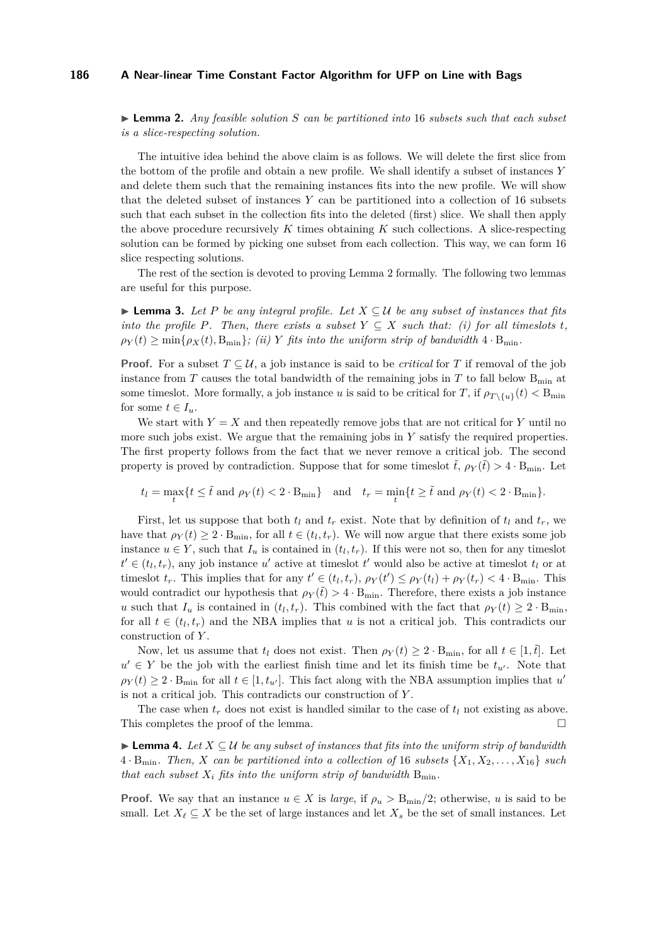<span id="page-5-0"></span>I **Lemma 2.** *Any feasible solution S can be partitioned into* 16 *subsets such that each subset is a slice-respecting solution.*

The intuitive idea behind the above claim is as follows. We will delete the first slice from the bottom of the profile and obtain a new profile. We shall identify a subset of instances *Y* and delete them such that the remaining instances fits into the new profile. We will show that the deleted subset of instances *Y* can be partitioned into a collection of 16 subsets such that each subset in the collection fits into the deleted (first) slice. We shall then apply the above procedure recursively *K* times obtaining *K* such collections. A slice-respecting solution can be formed by picking one subset from each collection. This way, we can form 16 slice respecting solutions.

The rest of the section is devoted to proving Lemma [2](#page-5-0) formally. The following two lemmas are useful for this purpose.

<span id="page-5-1"></span>**► Lemma 3.** Let P be any integral profile. Let  $X ⊆ U$  be any subset of instances that fits *into the profile P. Then, there exists a subset*  $Y \subseteq X$  *such that: (i) for all timeslots t,*  $\rho_Y(t) \ge \min\{\rho_X(t), B_{\min}\}\$ ; (*ii*) *Y fits into the uniform strip of bandwidth*  $4 \cdot B_{\min}$ .

**Proof.** For a subset  $T \subseteq U$ , a job instance is said to be *critical* for *T* if removal of the job instance from *T* causes the total bandwidth of the remaining jobs in *T* to fall below  $B_{\text{min}}$  at some timeslot. More formally, a job instance *u* is said to be critical for *T*, if  $\rho_{T\setminus\{u\}}(t) < B_{\min}$ for some  $t \in I_u$ .

We start with  $Y = X$  and then repeatedly remove jobs that are not critical for  $Y$  until no more such jobs exist. We argue that the remaining jobs in *Y* satisfy the required properties. The first property follows from the fact that we never remove a critical job. The second property is proved by contradiction. Suppose that for some timeslot  $\tilde{t}$ ,  $\rho_Y(\tilde{t}) > 4 \cdot B_{\min}$ . Let

 $t_l = \max_t \{ t \leq \tilde{t} \text{ and } \rho_Y(t) < 2 \cdot B_{\min} \}$  and  $t_r = \min_t \{ t \geq \tilde{t} \text{ and } \rho_Y(t) < 2 \cdot B_{\min} \}.$ 

First, let us suppose that both  $t_l$  and  $t_r$  exist. Note that by definition of  $t_l$  and  $t_r$ , we have that  $\rho_Y(t) \geq 2 \cdot B_{\text{min}}$ , for all  $t \in (t_l, t_r)$ . We will now argue that there exists some job instance  $u \in Y$ , such that  $I_u$  is contained in  $(t_l, t_r)$ . If this were not so, then for any timeslot  $t' \in (t_l, t_r)$ , any job instance *u*' active at timeslot *t'* would also be active at timeslot  $t_l$  or at times that is implies that for any  $t' \in (t_l, t_r)$ ,  $\rho_Y(t') \leq \rho_Y(t_l) + \rho_Y(t_r) < 4 \cdot B_{\min}$ . This would contradict our hypothesis that  $\rho_Y(\tilde{t}) > 4 \cdot B_{\text{min}}$ . Therefore, there exists a job instance *u* such that  $I_u$  is contained in  $(t_l, t_r)$ . This combined with the fact that  $\rho_Y(t) \geq 2 \cdot B_{\text{min}}$ , for all  $t \in (t_l, t_r)$  and the NBA implies that *u* is not a critical job. This contradicts our construction of *Y* .

Now, let us assume that  $t_l$  does not exist. Then  $\rho_Y(t) \geq 2 \cdot B_{\min}$ , for all  $t \in [1, \hat{t}]$ . Let  $u' \in Y$  be the job with the earliest finish time and let its finish time be  $t_{u'}$ . Note that  $\rho_Y(t) \geq 2 \cdot B_{\text{min}}$  for all  $t \in [1, t_{u'}]$ . This fact along with the NBA assumption implies that *u* is not a critical job. This contradicts our construction of *Y* .

The case when  $t_r$  does not exist is handled similar to the case of  $t_l$  not existing as above. This completes the proof of the lemma.

<span id="page-5-2"></span>**Lemma 4.** Let  $X \subseteq U$  be any subset of instances that fits into the uniform strip of bandwidth  $4 \cdot B_{\text{min}}$ *. Then, X can be partitioned into a collection of* 16 *subsets*  $\{X_1, X_2, \ldots, X_{16}\}\$  *such that each subset*  $X_i$  *fits into the uniform strip of bandwidth*  $B_{\min}$ *.* 

**Proof.** We say that an instance  $u \in X$  is *large*, if  $\rho_u > B_{\text{min}}/2$ ; otherwise, *u* is said to be small. Let  $X_{\ell} \subseteq X$  be the set of large instances and let  $X_{s}$  be the set of small instances. Let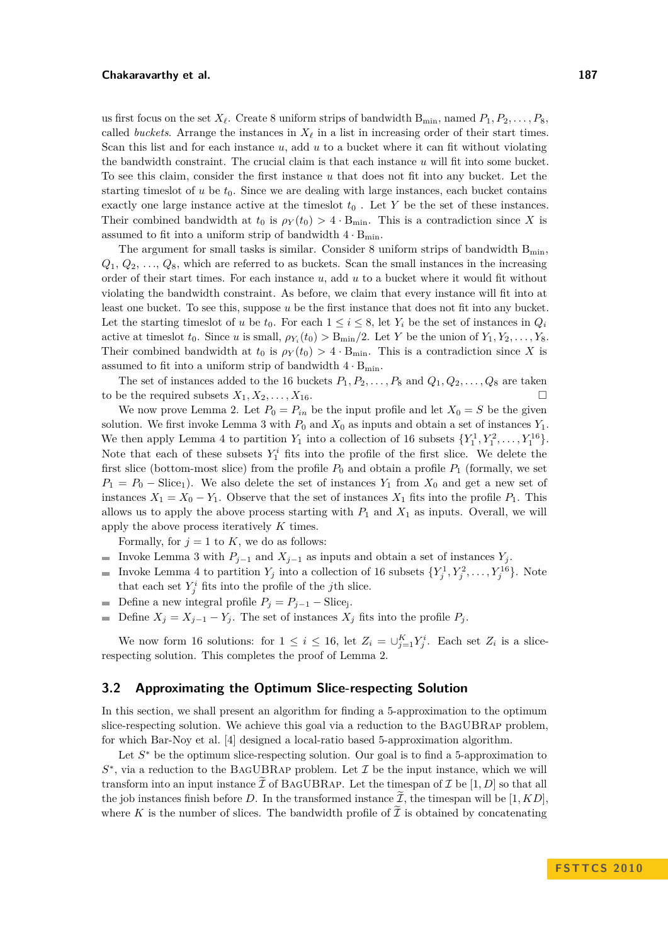### **Chakaravarthy et al. 187**

us first focus on the set  $X_\ell$ . Create 8 uniform strips of bandwidth  $B_{\min}$ , named  $P_1, P_2, \ldots, P_8$ . called *buckets*. Arrange the instances in  $X_\ell$  in a list in increasing order of their start times. Scan this list and for each instance *u*, add *u* to a bucket where it can fit without violating the bandwidth constraint. The crucial claim is that each instance *u* will fit into some bucket. To see this claim, consider the first instance *u* that does not fit into any bucket. Let the starting timeslot of  $u$  be  $t_0$ . Since we are dealing with large instances, each bucket contains exactly one large instance active at the timeslot  $t_0$ . Let  $Y$  be the set of these instances. Their combined bandwidth at  $t_0$  is  $\rho_Y(t_0) > 4 \cdot B_{\text{min}}$ . This is a contradiction since X is assumed to fit into a uniform strip of bandwidth  $4 \cdot B_{\text{min}}$ .

The argument for small tasks is similar. Consider 8 uniform strips of bandwidth  $B_{min}$ ,  $Q_1, Q_2, \ldots, Q_8$ , which are referred to as buckets. Scan the small instances in the increasing order of their start times. For each instance *u*, add *u* to a bucket where it would fit without violating the bandwidth constraint. As before, we claim that every instance will fit into at least one bucket. To see this, suppose *u* be the first instance that does not fit into any bucket. Let the starting timeslot of *u* be  $t_0$ . For each  $1 \leq i \leq 8$ , let  $Y_i$  be the set of instances in  $Q_i$ active at timeslot  $t_0$ . Since *u* is small,  $\rho_{Y_i}(t_0) > B_{\min}/2$ . Let *Y* be the union of  $Y_1, Y_2, \ldots, Y_8$ . Their combined bandwidth at  $t_0$  is  $\rho_Y(t_0) > 4 \cdot B_{\text{min}}$ . This is a contradiction since X is assumed to fit into a uniform strip of bandwidth  $4\cdot B_{\min}.$ 

The set of instances added to the 16 buckets  $P_1, P_2, \ldots, P_8$  and  $Q_1, Q_2, \ldots, Q_8$  are taken to be the required subsets  $X_1, X_2, \ldots, X_{16}$ .

We now prove Lemma [2.](#page-5-0) Let  $P_0 = P_{in}$  be the input profile and let  $X_0 = S$  be the given solution. We first invoke Lemma [3](#page-5-1) with  $P_0$  and  $X_0$  as inputs and obtain a set of instances  $Y_1$ . We then apply Lemma [4](#page-5-2) to partition  $Y_1$  into a collection of 16 subsets  $\{Y_1^1, Y_1^2, \ldots, Y_1^{16}\}.$ Note that each of these subsets  $Y_1^i$  fits into the profile of the first slice. We delete the first slice (bottom-most slice) from the profile  $P_0$  and obtain a profile  $P_1$  (formally, we set  $P_1 = P_0$  – Slice<sub>1</sub>). We also delete the set of instances  $Y_1$  from  $X_0$  and get a new set of instances  $X_1 = X_0 - Y_1$ . Observe that the set of instances  $X_1$  fits into the profile  $P_1$ . This allows us to apply the above process starting with  $P_1$  and  $X_1$  as inputs. Overall, we will apply the above process iteratively *K* times.

Formally, for  $j = 1$  to  $K$ , we do as follows:

- Invoke Lemma [3](#page-5-1) with  $P_{j-1}$  and  $X_{j-1}$  as inputs and obtain a set of instances  $Y_j$ .  $\mathcal{L}$
- Invoke Lemma [4](#page-5-2) to partition  $Y_j$  into a collection of 16 subsets  $\{Y_j^1, Y_j^2, \ldots, Y_j^{16}\}$ . Note that each set  $Y_j^i$  fits into the profile of the *j*th slice.
- Define a new integral profile  $P_j = P_{j-1} \text{Slice}_j$ .  $\overline{\phantom{a}}$
- Define  $X_j = X_{j-1} Y_j$ . The set of instances  $X_j$  fits into the profile  $P_j$ .  $\overline{\phantom{a}}$

We now form 16 solutions: for  $1 \leq i \leq 16$ , let  $Z_i = \bigcup_{j=1}^K Y_j^i$ . Each set  $Z_i$  is a slicerespecting solution. This completes the proof of Lemma [2.](#page-5-0)

# <span id="page-6-0"></span>**3.2 Approximating the Optimum Slice-respecting Solution**

In this section, we shall present an algorithm for finding a 5-approximation to the optimum slice-respecting solution. We achieve this goal via a reduction to the BagUBRap problem, for which Bar-Noy et al. [\[4\]](#page-10-1) designed a local-ratio based 5-approximation algorithm.

Let  $S^*$  be the optimum slice-respecting solution. Our goal is to find a 5-approximation to  $S^*$ , via a reduction to the BAGUBRAP problem. Let  $\mathcal I$  be the input instance, which we will transform into an input instance  $\bar{\mathcal{I}}$  of BAGUBRAP. Let the timespan of  $\bar{\mathcal{I}}$  be [1, D] so that all the job instances finish before D. In the transformed instance  $\tilde{\mathcal{I}}$ , the timespan will be [1, KD], where K is the number of slices. The bandwidth profile of  $\tilde{\mathcal{I}}$  is obtained by concatenating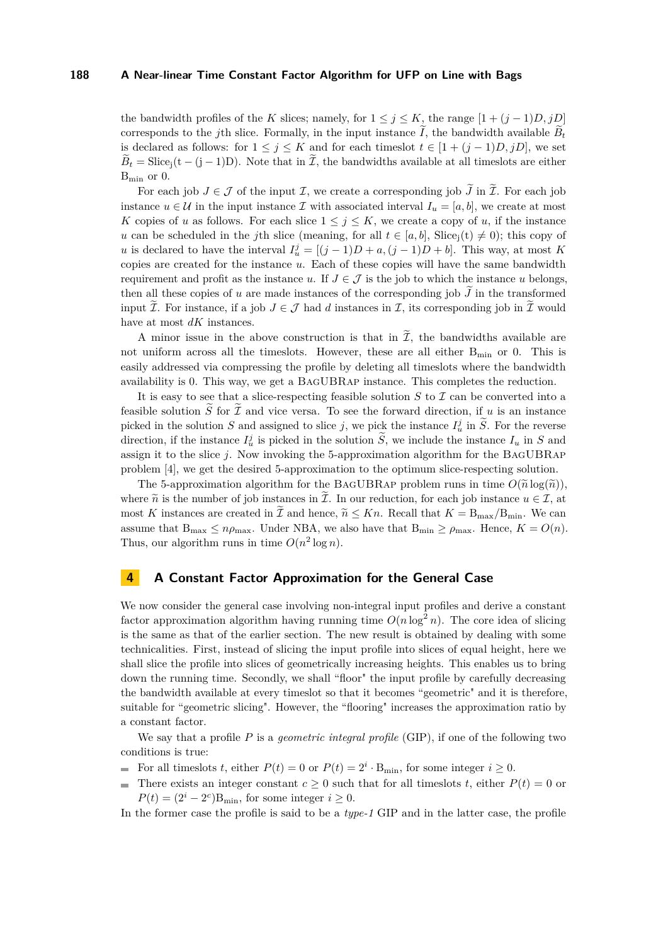the bandwidth profiles of the *K* slices; namely, for  $1 \leq j \leq K$ , the range  $[1 + (j - 1)D, jD]$ corresponds to the *j*th slice. Formally, in the input instance  $\tilde{I}$ , the bandwidth available  $\tilde{B}_t$ is declared as follows: for  $1 \leq j \leq K$  and for each timeslot  $t \in [1 + (j-1)D, jD]$ , we set  $\tilde{B}_t = \text{Slice}_j(t-(j-1)D)$ . Note that in  $\tilde{\mathcal{I}}$ , the bandwidths available at all timeslots are either Bmin or 0.

For each job  $J \in \mathcal{J}$  of the input  $\mathcal{I}$ , we create a corresponding job  $\tilde{J}$  in  $\tilde{\mathcal{I}}$ . For each job instance  $u \in \mathcal{U}$  in the input instance  $\mathcal{I}$  with associated interval  $I_u = [a, b]$ , we create at most *K* copies of *u* as follows. For each slice  $1 \leq j \leq K$ , we create a copy of *u*, if the instance *u* can be scheduled in the *j*th slice (meaning, for all  $t \in [a, b]$ , Slice<sub>i</sub>(t)  $\neq 0$ ); this copy of *u* is declared to have the interval  $I_u^j = [(j-1)D + a, (j-1)D + b]$ . This way, at most *K* copies are created for the instance *u*. Each of these copies will have the same bandwidth requirement and profit as the instance *u*. If  $J \in \mathcal{J}$  is the job to which the instance *u* belongs, then all these copies of *u* are made instances of the corresponding job  $\tilde{J}$  in the transformed input  $\widetilde{\mathcal{I}}$ . For instance, if a job  $J \in \mathcal{J}$  had d instances in  $\mathcal{I}$ , its corresponding job in  $\widetilde{\mathcal{I}}$  would have at most *dK* instances.

A minor issue in the above construction is that in  $\tilde{\mathcal{I}}$ , the bandwidths available are not uniform across all the timeslots. However, these are all either  $B_{\text{min}}$  or 0. This is easily addressed via compressing the profile by deleting all timeslots where the bandwidth availability is 0. This way, we get a BagUBRap instance. This completes the reduction.

It is easy to see that a slice-respecting feasible solution  $S$  to  $\mathcal I$  can be converted into a feasible solution  $\widetilde{S}$  for  $\widetilde{I}$  and vice versa. To see the forward direction, if *u* is an instance picked in the solution *S* and assigned to slice *j*, we pick the instance  $I_u^j$  in  $\tilde{S}$ . For the reverse direction, if the instance  $I_u^j$  is picked in the solution  $\tilde{S}$ , we include the instance  $I_u$  in  $S$  and assign it to the slice *j*. Now invoking the 5-approximation algorithm for the BagUBRap problem [\[4\]](#page-10-1), we get the desired 5-approximation to the optimum slice-respecting solution.

The 5-approximation algorithm for the BAGUBRAP problem runs in time  $O(\tilde{n} \log(\tilde{n}))$ , where  $\tilde{n}$  is the number of job instances in  $\tilde{\mathcal{I}}$ . In our reduction, for each job instance  $u \in \mathcal{I}$ , at most *K* instances are created in  $\tilde{\mathcal{I}}$  and hence,  $\tilde{n} \leq Kn$ . Recall that  $K = B_{\text{max}}/B_{\text{min}}$ . We can assume that  $B_{\text{max}} \leq n \rho_{\text{max}}$ . Under NBA, we also have that  $B_{\text{min}} \geq \rho_{\text{max}}$ . Hence,  $K = O(n)$ . Thus, our algorithm runs in time  $O(n^2 \log n)$ .

# <span id="page-7-0"></span>**4 A Constant Factor Approximation for the General Case**

We now consider the general case involving non-integral input profiles and derive a constant factor approximation algorithm having running time  $O(n \log^2 n)$ . The core idea of slicing is the same as that of the earlier section. The new result is obtained by dealing with some technicalities. First, instead of slicing the input profile into slices of equal height, here we shall slice the profile into slices of geometrically increasing heights. This enables us to bring down the running time. Secondly, we shall "floor" the input profile by carefully decreasing the bandwidth available at every timeslot so that it becomes "geometric" and it is therefore, suitable for "geometric slicing". However, the "flooring" increases the approximation ratio by a constant factor.

We say that a profile *P* is a *geometric integral profile* (GIP), if one of the following two conditions is true:

- For all timeslots *t*, either  $P(t) = 0$  or  $P(t) = 2^i \cdot B_{\min}$ , for some integer  $i \ge 0$ .  $\mathbf{r}$
- There exists an integer constant  $c \geq 0$  such that for all timeslots *t*, either  $P(t) = 0$  or  $\overline{a}$  $P(t) = (2^i - 2^c)B_{\text{min}}$ , for some integer  $i \geq 0$ .

In the former case the profile is said to be a *type-1* GIP and in the latter case, the profile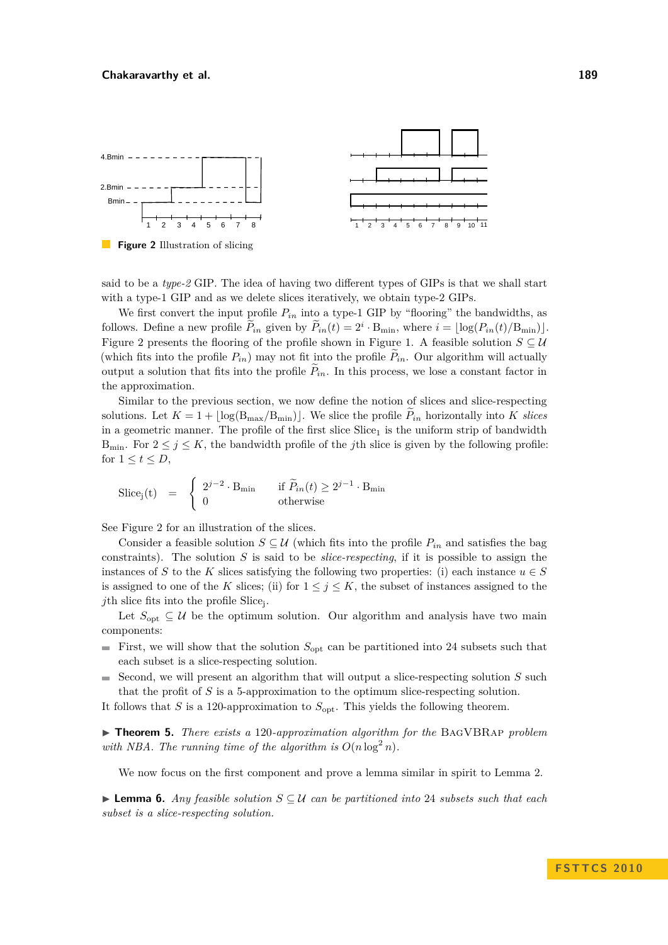<span id="page-8-0"></span>

**Figure 2** Illustration of slicing

said to be a *type-2* GIP. The idea of having two different types of GIPs is that we shall start with a type-1 GIP and as we delete slices iteratively, we obtain type-2 GIPs.

We first convert the input profile  $P_{in}$  into a type-1 GIP by "flooring" the bandwidths, as follows. Define a new profile  $\tilde{P}_{in}$  given by  $\tilde{P}_{in}(t) = 2^i \cdot B_{\min}$ , where  $i = \lfloor \log(P_{in}(t)/B_{\min}) \rfloor$ . Figure [2](#page-8-0) presents the flooring of the profile shown in Figure [1.](#page-4-1) A feasible solution  $S \subseteq U$ (which fits into the profile  $P_{in}$ ) may not fit into the profile  $P_{in}$ . Our algorithm will actually output a solution that fits into the profile  $P_{in}$ . In this process, we lose a constant factor in the approximation.

Similar to the previous section, we now define the notion of slices and slice-respecting solutions. Let  $K = 1 + |\log(B_{\text{max}}/B_{\text{min}})|$ . We slice the profile  $P_{in}$  horizontally into K slices in a geometric manner. The profile of the first slice  $Slice_1$  is the uniform strip of bandwidth B<sub>min</sub>. For  $2 \leq j \leq K$ , the bandwidth profile of the *j*th slice is given by the following profile: for  $1 \le t \le D$ ,

$$
\text{Slice}_j(t) = \begin{cases} 2^{j-2} \cdot B_{\min} & \text{if } \widetilde{P}_{in}(t) \ge 2^{j-1} \cdot B_{\min} \\ 0 & \text{otherwise} \end{cases}
$$

See Figure [2](#page-8-0) for an illustration of the slices.

Consider a feasible solution  $S \subseteq U$  (which fits into the profile  $P_{in}$  and satisfies the bag constraints). The solution *S* is said to be *slice-respecting*, if it is possible to assign the instances of *S* to the *K* slices satisfying the following two properties: (i) each instance  $u \in S$ is assigned to one of the *K* slices; (ii) for  $1 \leq j \leq K$ , the subset of instances assigned to the *j*th slice fits into the profile Slice<sup>j</sup> .

Let  $S_{\text{opt}} \subseteq \mathcal{U}$  be the optimum solution. Our algorithm and analysis have two main components:

- First, we will show that the solution  $S_{\text{opt}}$  can be partitioned into 24 subsets such that each subset is a slice-respecting solution.
- Second, we will present an algorithm that will output a slice-respecting solution *S* such  $\sim$ that the profit of *S* is a 5-approximation to the optimum slice-respecting solution.

It follows that *S* is a 120-approximation to  $S_{\text{opt}}$ . This yields the following theorem.

<span id="page-8-2"></span>▶ **Theorem 5.** *There exists a* 120*-approximation algorithm for the* BAGVBRAP *problem with NBA. The running time of the algorithm is*  $O(n \log^2 n)$ .

We now focus on the first component and prove a lemma similar in spirit to Lemma [2.](#page-5-0)

<span id="page-8-1"></span>I **Lemma 6.** *Any feasible solution S* ⊆ U *can be partitioned into* 24 *subsets such that each subset is a slice-respecting solution.*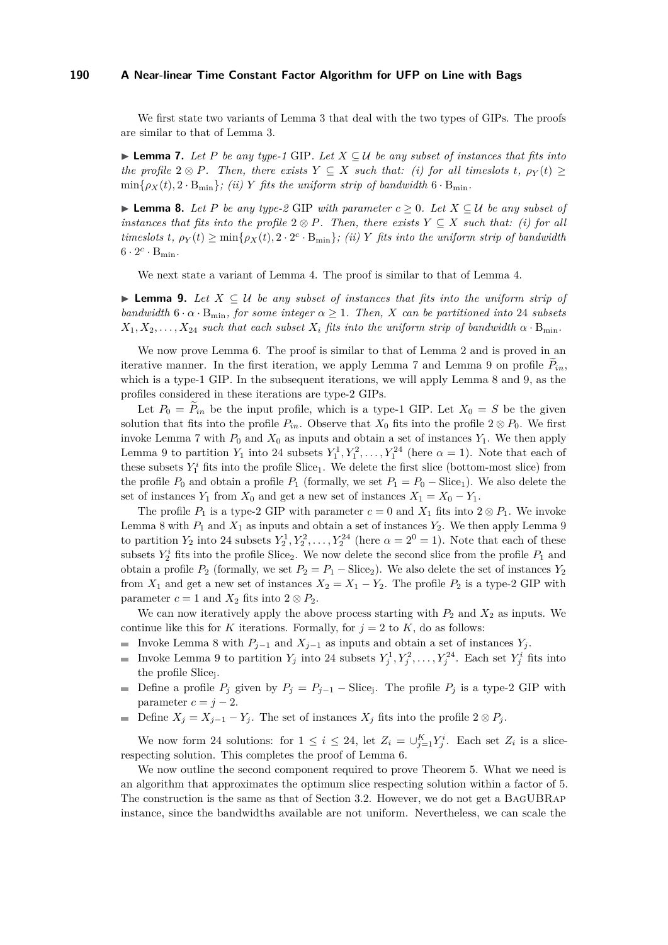We first state two variants of Lemma [3](#page-5-1) that deal with the two types of GIPs. The proofs are similar to that of Lemma [3.](#page-5-1)

<span id="page-9-0"></span>**► Lemma 7.** Let P be any type-1 GIP. Let  $X ⊆ U$  be any subset of instances that fits into *the profile*  $2 \otimes P$ *. Then, there exists*  $Y \subseteq X$  *such that: (i) for all timeslots t,*  $\rho_Y(t) \ge$  $\min\{\rho_X(t), 2 \cdot B_{\min}\}\$ ; (ii) *Y* fits the uniform strip of bandwidth  $6 \cdot B_{\min}$ .

<span id="page-9-2"></span>**► Lemma 8.** Let P be any type-2 GIP with parameter  $c \ge 0$ . Let  $X \subseteq U$  be any subset of *instances that fits into the profile*  $2 \otimes P$ *. Then, there exists*  $Y \subseteq X$  *such that: (i) for all timeslots*  $t$ *,*  $\rho_Y(t) \ge \min\{\rho_X(t), 2 \cdot 2^c \cdot B_{\min}\}\$ ; *(ii) Y fits into the uniform strip of bandwidth*  $6 \cdot 2^c \cdot B_{\min}$ .

We next state a variant of Lemma [4.](#page-5-2) The proof is similar to that of Lemma [4.](#page-5-2)

<span id="page-9-1"></span>**► Lemma 9.** Let  $X \subseteq U$  be any subset of instances that fits into the uniform strip of *bandwidth*  $6 \cdot \alpha \cdot B_{\text{min}}$ *, for some integer*  $\alpha \geq 1$ *. Then, X can be partitioned into* 24 *subsets*  $X_1, X_2, \ldots, X_{24}$  *such that each subset*  $X_i$  *fits into the uniform strip of bandwidth*  $\alpha \cdot B_{\min}$ .

We now prove Lemma [6.](#page-8-1) The proof is similar to that of Lemma [2](#page-5-0) and is proved in an iterative manner. In the first iteration, we apply Lemma [7](#page-9-0) and Lemma [9](#page-9-1) on profile  $P_{in}$ , which is a type-1 GIP. In the subsequent iterations, we will apply Lemma [8](#page-9-2) and [9,](#page-9-1) as the profiles considered in these iterations are type-2 GIPs.

Let  $P_0 = P_{in}$  be the input profile, which is a type-1 GIP. Let  $X_0 = S$  be the given solution that fits into the profile  $P_{in}$ . Observe that  $X_0$  fits into the profile  $2 \otimes P_0$ . We first invoke Lemma [7](#page-9-0) with  $P_0$  and  $X_0$  as inputs and obtain a set of instances  $Y_1$ . We then apply Lemma [9](#page-9-1) to partition  $Y_1$  into 24 subsets  $Y_1^1, Y_1^2, \ldots, Y_1^{24}$  (here  $\alpha = 1$ ). Note that each of these subsets  $Y_1^i$  fits into the profile  $Slice_1$ . We delete the first slice (bottom-most slice) from the profile  $P_0$  and obtain a profile  $P_1$  (formally, we set  $P_1 = P_0 - \text{Slice}_1$ ). We also delete the set of instances  $Y_1$  from  $X_0$  and get a new set of instances  $X_1 = X_0 - Y_1$ .

The profile  $P_1$  is a type-2 GIP with parameter  $c = 0$  and  $X_1$  fits into  $2 \otimes P_1$ . We invoke Lemma [8](#page-9-2) with  $P_1$  and  $X_1$  as inputs and obtain a set of instances  $Y_2$ . We then apply Lemma [9](#page-9-1) to partition  $Y_2$  into 24 subsets  $Y_2^1, Y_2^2, \ldots, Y_2^{24}$  (here  $\alpha = 2^0 = 1$ ). Note that each of these subsets  $Y_2^i$  fits into the profile Slice<sub>2</sub>. We now delete the second slice from the profile  $P_1$  and obtain a profile  $P_2$  (formally, we set  $P_2 = P_1 - \text{Slice}_2$ ). We also delete the set of instances  $Y_2$ from  $X_1$  and get a new set of instances  $X_2 = X_1 - Y_2$ . The profile  $P_2$  is a type-2 GIP with parameter  $c = 1$  and  $X_2$  fits into  $2 \otimes P_2$ .

We can now iteratively apply the above process starting with  $P_2$  and  $X_2$  as inputs. We continue like this for *K* iterations. Formally, for  $j = 2$  to *K*, do as follows:

- Invoke Lemma [8](#page-9-2) with  $P_{j-1}$  and  $X_{j-1}$  as inputs and obtain a set of instances  $Y_j$ .
- Invoke Lemma [9](#page-9-1) to partition  $Y_j$  into 24 subsets  $Y_j^1, Y_j^2, \ldots, Y_j^{24}$ . Each set  $Y_j^i$  fits into  $\overline{\phantom{a}}$ the profile Slice<sup>j</sup> .
- Define a profile  $P_j$  given by  $P_j = P_{j-1}$  Slice<sub>j</sub>. The profile  $P_j$  is a type-2 GIP with parameter  $c = j - 2$ .
- Define  $X_j = X_{j-1} Y_j$ . The set of instances  $X_j$  fits into the profile  $2 \otimes P_j$ .  $\equiv$

We now form 24 solutions: for  $1 \leq i \leq 24$ , let  $Z_i = \bigcup_{j=1}^K Y_j^i$ . Each set  $Z_i$  is a slicerespecting solution. This completes the proof of Lemma [6.](#page-8-1)

We now outline the second component required to prove Theorem [5.](#page-8-2) What we need is an algorithm that approximates the optimum slice respecting solution within a factor of 5. The construction is the same as that of Section [3.2.](#page-6-0) However, we do not get a BagUBRap instance, since the bandwidths available are not uniform. Nevertheless, we can scale the